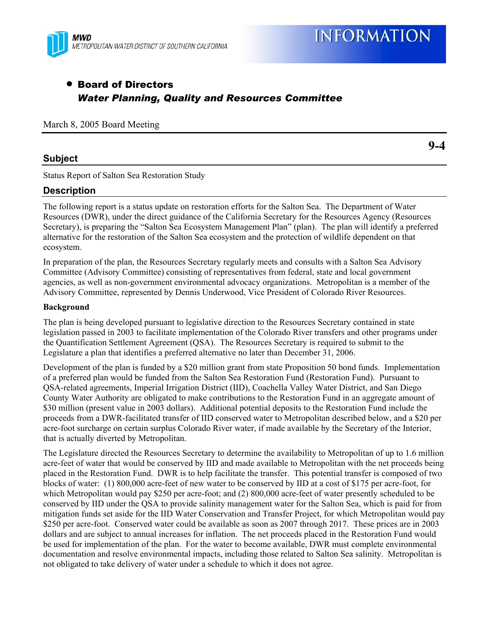

# • Board of Directors *Water Planning, Quality and Resources Committee*

March 8, 2005 Board Meeting

## **Subject**

**9-4** 

Status Report of Salton Sea Restoration Study

# **Description**

The following report is a status update on restoration efforts for the Salton Sea. The Department of Water Resources (DWR), under the direct guidance of the California Secretary for the Resources Agency (Resources Secretary), is preparing the "Salton Sea Ecosystem Management Plan" (plan). The plan will identify a preferred alternative for the restoration of the Salton Sea ecosystem and the protection of wildlife dependent on that ecosystem.

In preparation of the plan, the Resources Secretary regularly meets and consults with a Salton Sea Advisory Committee (Advisory Committee) consisting of representatives from federal, state and local government agencies, as well as non-government environmental advocacy organizations. Metropolitan is a member of the Advisory Committee, represented by Dennis Underwood, Vice President of Colorado River Resources.

#### **Background**

The plan is being developed pursuant to legislative direction to the Resources Secretary contained in state legislation passed in 2003 to facilitate implementation of the Colorado River transfers and other programs under the Quantification Settlement Agreement (QSA). The Resources Secretary is required to submit to the Legislature a plan that identifies a preferred alternative no later than December 31, 2006.

Development of the plan is funded by a \$20 million grant from state Proposition 50 bond funds. Implementation of a preferred plan would be funded from the Salton Sea Restoration Fund (Restoration Fund). Pursuant to QSA-related agreements, Imperial Irrigation District (IID), Coachella Valley Water District, and San Diego County Water Authority are obligated to make contributions to the Restoration Fund in an aggregate amount of \$30 million (present value in 2003 dollars). Additional potential deposits to the Restoration Fund include the proceeds from a DWR-facilitated transfer of IID conserved water to Metropolitan described below, and a \$20 per acre-foot surcharge on certain surplus Colorado River water, if made available by the Secretary of the Interior, that is actually diverted by Metropolitan.

The Legislature directed the Resources Secretary to determine the availability to Metropolitan of up to 1.6 million acre-feet of water that would be conserved by IID and made available to Metropolitan with the net proceeds being placed in the Restoration Fund. DWR is to help facilitate the transfer. This potential transfer is composed of two blocks of water: (1) 800,000 acre-feet of new water to be conserved by IID at a cost of \$175 per acre-foot, for which Metropolitan would pay \$250 per acre-foot; and (2) 800,000 acre-feet of water presently scheduled to be conserved by IID under the QSA to provide salinity management water for the Salton Sea, which is paid for from mitigation funds set aside for the IID Water Conservation and Transfer Project, for which Metropolitan would pay \$250 per acre-foot. Conserved water could be available as soon as 2007 through 2017. These prices are in 2003 dollars and are subject to annual increases for inflation. The net proceeds placed in the Restoration Fund would be used for implementation of the plan. For the water to become available, DWR must complete environmental documentation and resolve environmental impacts, including those related to Salton Sea salinity. Metropolitan is not obligated to take delivery of water under a schedule to which it does not agree.